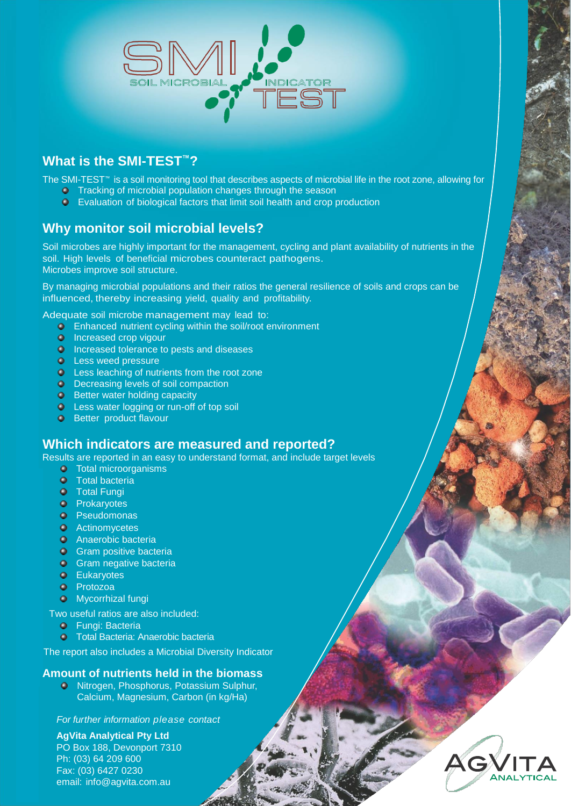

# **What is the SMI-TEST™?**

The SMI-TEST™ is a soil monitoring tool that describes aspects of microbial life in the root zone, allowing for

- **O** Tracking of microbial population changes through the season
- Evaluation of biological factors that limit soil health and crop production

# **Why monitor soil microbial levels?**

Soil microbes are highly important for the management, cycling and plant availability of nutrients in the soil. High levels of beneficial microbes counteract pathogens. Microbes improve soil structure.

By managing microbial populations and their ratios the general resilience of soils and crops can be influenced, thereby increasing yield, quality and profitability.

Adequate soil microbe management may lead to:

- **Enhanced nutrient cycling within the soil/root environment**
- **O** Increased crop vigour
- **Increased tolerance to pests and diseases**
- **Q** Less weed pressure
- **C** Less leaching of nutrients from the root zone
- O Decreasing levels of soil compaction
- **Better water holding capacity**
- **C** Less water logging or run-off of top soil
- **O** Better product flavour

#### **Which indicators are measured and reported?**

Results are reported in an easy to understand format, and include target levels

- **o** Total microorganisms
- **O** Total bacteria
- **O** Total Fungi
- **O** Prokaryotes
- **O** Pseudomonas
- **O** Actinomycetes
- **O** Anaerobic bacteria
- **Gram positive bacteria**
- **Gram negative bacteria**
- **O** Eukaryotes
- **O** Protozoa
- **O** Mycorrhizal fungi

Two useful ratios are also included:

- **O** Fungi: Bacteria
- **O** Total Bacteria: Anaerobic bacteria

The report also includes a Microbial Diversity Indicator

#### **Amount of nutrients held in the biomass**

**• Nitrogen, Phosphorus, Potassium Sulphur,** Calcium, Magnesium, Carbon (in kg/Ha)

*For further information please contact*

**AgVita Analytical Pty Ltd**

PO Box 188, Devonport 7310 Ph: (03) 64 209 600 Fax: (03) 6427 0230 [email:](mailto:info@agvita.com.au) info@agvita.com.au